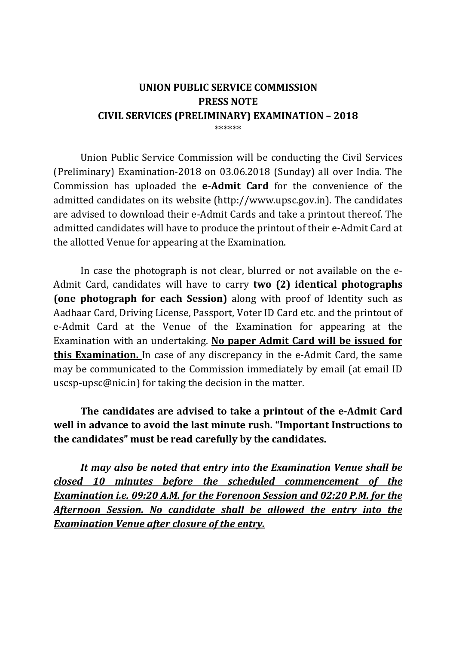## UNION PUBLIC SERVICE COMMISSION PRESS NOTE CIVIL SERVICES (PRELIMINARY) EXAMINATION – 2018 \*\*\*\*\*\*

 Union Public Service Commission will be conducting the Civil Services (Preliminary) Examination-2018 on 03.06.2018 (Sunday) all over India. The Commission has uploaded the e-Admit Card for the convenience of the admitted candidates on its website (http://www.upsc.gov.in). The candidates are advised to download their e-Admit Cards and take a printout thereof. The admitted candidates will have to produce the printout of their e-Admit Card at the allotted Venue for appearing at the Examination.

In case the photograph is not clear, blurred or not available on the e-Admit Card, candidates will have to carry two (2) identical photographs (one photograph for each Session) along with proof of Identity such as Aadhaar Card, Driving License, Passport, Voter ID Card etc. and the printout of e-Admit Card at the Venue of the Examination for appearing at the Examination with an undertaking. No paper Admit Card will be issued for this Examination. In case of any discrepancy in the e-Admit Card, the same may be communicated to the Commission immediately by email (at email ID uscsp-upsc@nic.in) for taking the decision in the matter.

The candidates are advised to take a printout of the e-Admit Card well in advance to avoid the last minute rush. "Important Instructions to the candidates" must be read carefully by the candidates.

It may also be noted that entry into the Examination Venue shall be closed 10 minutes before the scheduled commencement of the Examination i.e. 09:20 A.M. for the Forenoon Session and 02:20 P.M. for the Afternoon Session. No candidate shall be allowed the entry into the Examination Venue after closure of the entry.